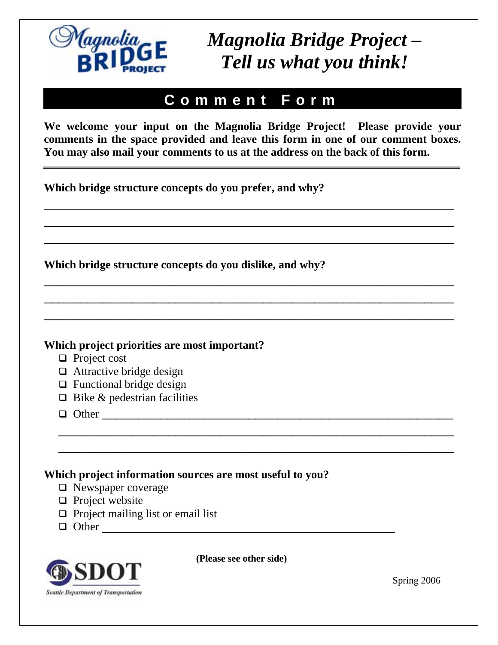

*Magnolia Bridge Project – Tell us what you think!*

## **C o m m e n t F o r m**

**We welcome your input on the Magnolia Bridge Project! Please provide your comments in the space provided and leave this form in one of our comment boxes. You may also mail your comments to us at the address on the back of this form.** 

\_\_\_\_\_\_\_\_\_\_\_\_\_\_\_\_\_\_\_\_\_\_\_\_\_\_\_\_\_\_\_\_\_\_\_\_\_\_\_\_\_\_\_\_\_\_\_\_\_\_\_\_\_\_\_\_

\_\_\_\_\_\_\_\_\_\_\_\_\_\_\_\_\_\_\_\_\_\_\_\_\_\_\_\_\_\_\_\_\_\_\_\_\_\_\_\_\_\_\_\_\_\_\_\_\_\_\_\_\_\_\_\_

\_\_\_\_\_\_\_\_\_\_\_\_\_\_\_\_\_\_\_\_\_\_\_\_\_\_\_\_\_\_\_\_\_\_\_\_\_\_\_\_\_\_\_\_\_\_\_\_\_\_\_\_\_\_\_\_

\_\_\_\_\_\_\_\_\_\_\_\_\_\_\_\_\_\_\_\_\_\_\_\_\_\_\_\_\_\_\_\_\_\_\_\_\_\_\_\_\_\_\_\_\_\_\_\_\_\_\_\_\_\_

\_\_\_\_\_\_\_\_\_\_\_\_\_\_\_\_\_\_\_\_\_\_\_\_\_\_\_\_\_\_\_\_\_\_\_\_\_\_\_\_\_\_\_\_\_\_\_\_\_\_\_\_\_\_

**Which bridge structure concepts do you prefer, and why?** 

**Which bridge structure concepts do you dislike, and why?** 

## **Which project priorities are most important?**

- $\Box$  Project cost
- $\Box$  Attractive bridge design
- $\Box$  Functional bridge design
- $\Box$  Bike & pedestrian facilities
- Other \_\_\_\_\_\_\_\_\_\_\_\_\_\_\_\_\_\_\_\_\_\_\_\_\_\_\_\_\_\_\_\_\_\_\_\_\_\_\_\_\_\_\_\_\_\_\_\_

 $\overline{a}$ 

## **Which project information sources are most useful to you?**

- □ Newspaper coverage
- $\Box$  Project website
- $\Box$  Project mailing list or email list
- $\Box$  Other



**(Please see other side)** 

Spring 2006